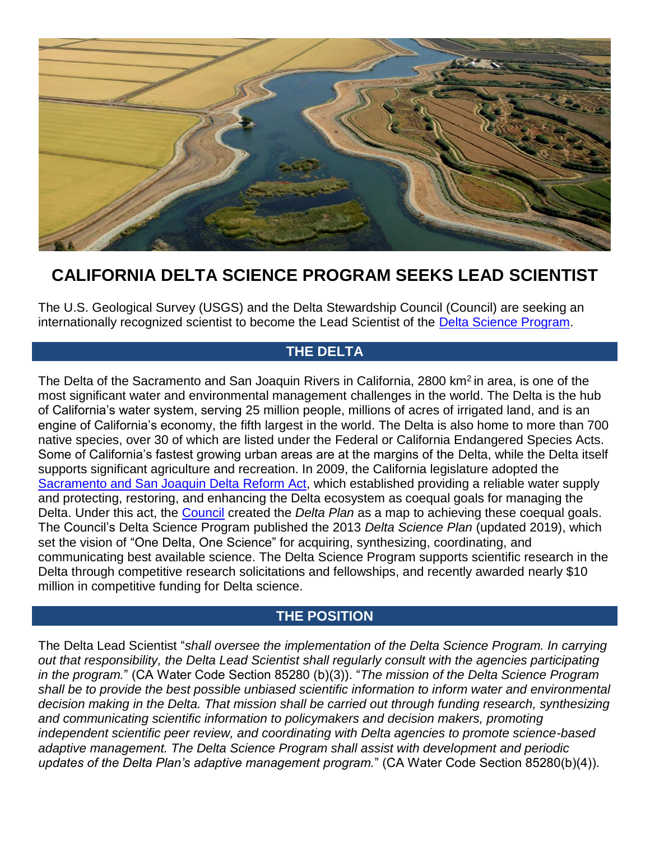

# **CALIFORNIA DELTA SCIENCE PROGRAM SEEKS LEAD SCIENTIST**

The U.S. Geological Survey (USGS) and the Delta Stewardship Council (Council) are seeking an internationally recognized scientist to become the Lead Scientist of the [Delta Science Program.](http://deltacouncil.ca.gov/delta-science-program/)

## **THE DELTA**

The Delta of the Sacramento and San Joaquin Rivers in California, 2800 km<sup>2</sup> in area, is one of the most significant water and environmental management challenges in the world. The Delta is the hub of California's water system, serving 25 million people, millions of acres of irrigated land, and is an engine of California's economy, the fifth largest in the world. The Delta is also home to more than 700 native species, over 30 of which are listed under the Federal or California Endangered Species Acts. Some of California's fastest growing urban areas are at the margins of the Delta, while the Delta itself supports significant agriculture and recreation. In 2009, the California legislature adopted the [Sacramento and San Joaquin Delta](http://leginfo.legislature.ca.gov/faces/billNavClient.xhtml?bill_id=200920107SB1) Reform Act, which established providing a reliable water supply and protecting, restoring, and enhancing the Delta ecosystem as coequal goals for managing the Delta. Under this act, the [Council](http://deltacouncil.ca.gov/) created the *Delta Plan* as a map to achieving these coequal goals. The Council's Delta Science Program published the 2013 *Delta Science Plan* (updated 2019), which set the vision of "One Delta, One Science" for acquiring, synthesizing, coordinating, and communicating best available science. The Delta Science Program supports scientific research in the Delta through competitive research solicitations and fellowships, and recently awarded nearly \$10 million in competitive funding for Delta science.

### **THE POSITION**

The Delta Lead Scientist "*shall oversee the implementation of the Delta Science Program. In carrying*  out that responsibility, the Delta Lead Scientist shall regularly consult with the agencies participating *in the program.*" (CA Water Code Section 85280 (b)(3)). "*The mission of the Delta Science Program shall be to provide the best possible unbiased scientific information to inform water and environmental*  decision making in the Delta. That mission shall be carried out through funding research, synthesizing *and communicating scientific information to policymakers and decision makers, promoting independent scientific peer review, and coordinating with Delta agencies to promote science-based adaptive management. The Delta Science Program shall assist with development and periodic updates of the Delta Plan's adaptive management program.*" (CA Water Code Section 85280(b)(4)).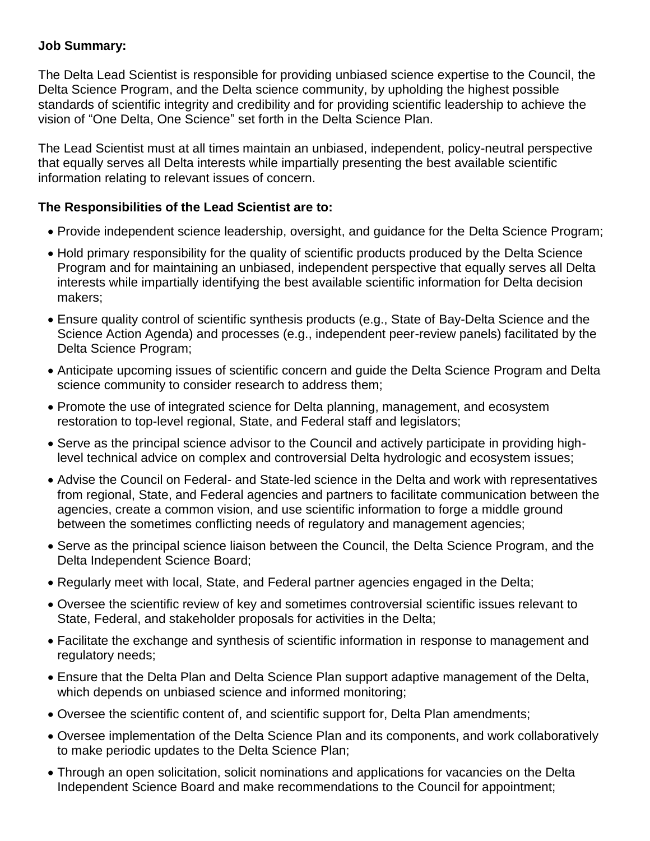#### **Job Summary:**

The Delta Lead Scientist is responsible for providing unbiased science expertise to the Council, the Delta Science Program, and the Delta science community, by upholding the highest possible standards of scientific integrity and credibility and for providing scientific leadership to achieve the vision of "One Delta, One Science" set forth in the Delta Science Plan.

The Lead Scientist must at all times maintain an unbiased, independent, policy-neutral perspective that equally serves all Delta interests while impartially presenting the best available scientific information relating to relevant issues of concern.

#### **The Responsibilities of the Lead Scientist are to:**

- Provide independent science leadership, oversight, and guidance for the Delta Science Program;
- Hold primary responsibility for the quality of scientific products produced by the Delta Science Program and for maintaining an unbiased, independent perspective that equally serves all Delta interests while impartially identifying the best available scientific information for Delta decision makers;
- Ensure quality control of scientific synthesis products (e.g., State of Bay-Delta Science and the Science Action Agenda) and processes (e.g., independent peer-review panels) facilitated by the Delta Science Program;
- Anticipate upcoming issues of scientific concern and guide the Delta Science Program and Delta science community to consider research to address them;
- Promote the use of integrated science for Delta planning, management, and ecosystem restoration to top-level regional, State, and Federal staff and legislators;
- Serve as the principal science advisor to the Council and actively participate in providing highlevel technical advice on complex and controversial Delta hydrologic and ecosystem issues;
- Advise the Council on Federal- and State-led science in the Delta and work with representatives from regional, State, and Federal agencies and partners to facilitate communication between the agencies, create a common vision, and use scientific information to forge a middle ground between the sometimes conflicting needs of regulatory and management agencies;
- Serve as the principal science liaison between the Council, the Delta Science Program, and the Delta Independent Science Board;
- Regularly meet with local, State, and Federal partner agencies engaged in the Delta;
- Oversee the scientific review of key and sometimes controversial scientific issues relevant to State, Federal, and stakeholder proposals for activities in the Delta;
- Facilitate the exchange and synthesis of scientific information in response to management and regulatory needs;
- Ensure that the Delta Plan and Delta Science Plan support adaptive management of the Delta, which depends on unbiased science and informed monitoring;
- Oversee the scientific content of, and scientific support for, Delta Plan amendments;
- Oversee implementation of the Delta Science Plan and its components, and work collaboratively to make periodic updates to the Delta Science Plan;
- Through an open solicitation, solicit nominations and applications for vacancies on the Delta Independent Science Board and make recommendations to the Council for appointment;